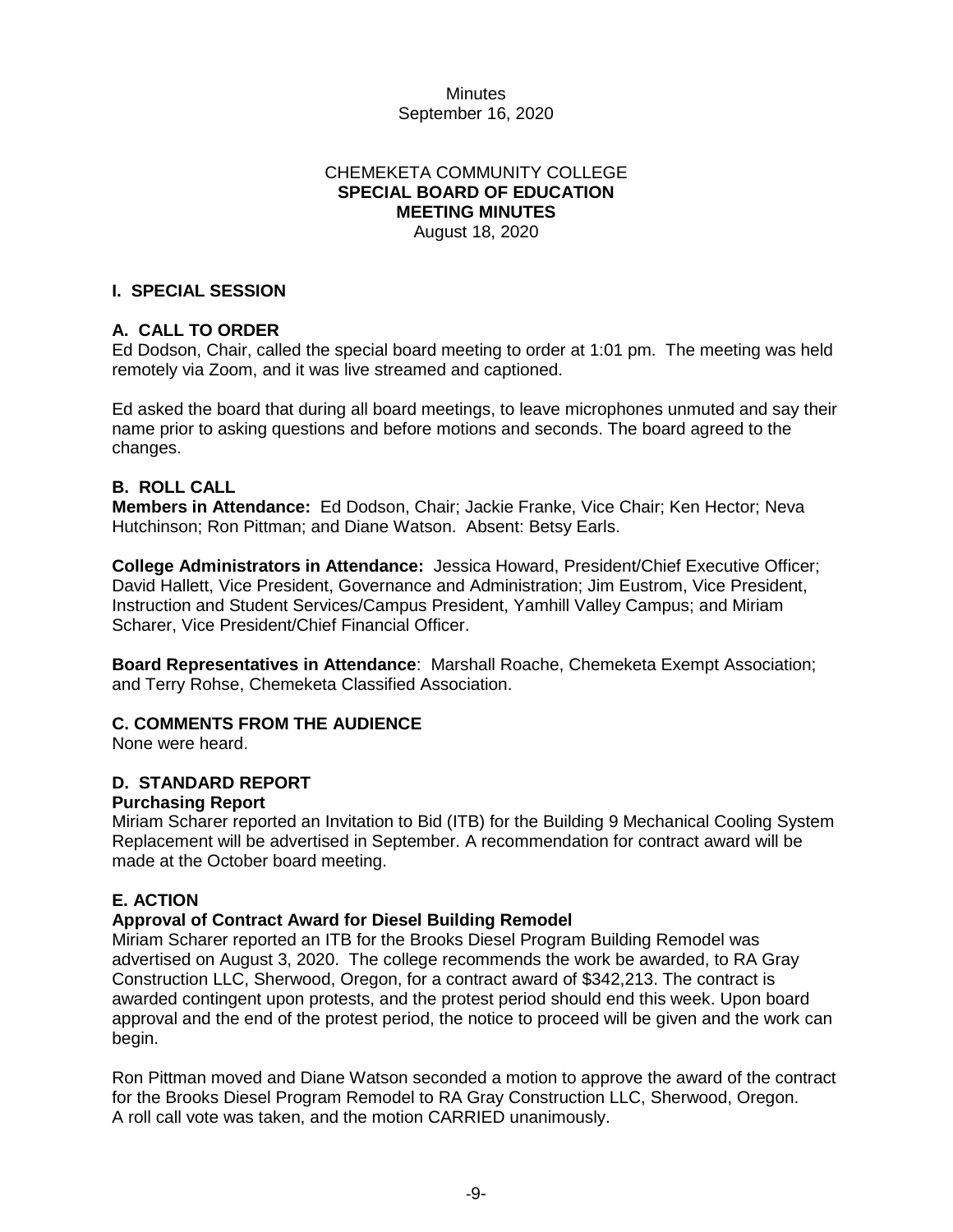### **Minutes** September 16, 2020

# CHEMEKETA COMMUNITY COLLEGE **SPECIAL BOARD OF EDUCATION MEETING MINUTES**

August 18, 2020

### **I. SPECIAL SESSION**

# **A. CALL TO ORDER**

Ed Dodson, Chair, called the special board meeting to order at 1:01 pm. The meeting was held remotely via Zoom, and it was live streamed and captioned.

Ed asked the board that during all board meetings, to leave microphones unmuted and say their name prior to asking questions and before motions and seconds. The board agreed to the changes.

### **B. ROLL CALL**

**Members in Attendance:** Ed Dodson, Chair; Jackie Franke, Vice Chair; Ken Hector; Neva Hutchinson; Ron Pittman; and Diane Watson. Absent: Betsy Earls.

**College Administrators in Attendance:** Jessica Howard, President/Chief Executive Officer; David Hallett, Vice President, Governance and Administration; Jim Eustrom, Vice President, Instruction and Student Services/Campus President, Yamhill Valley Campus; and Miriam Scharer, Vice President/Chief Financial Officer.

**Board Representatives in Attendance**: Marshall Roache, Chemeketa Exempt Association; and Terry Rohse, Chemeketa Classified Association.

# **C. COMMENTS FROM THE AUDIENCE**

None were heard.

### **D. STANDARD REPORT**

### **Purchasing Report**

Miriam Scharer reported an Invitation to Bid (ITB) for the Building 9 Mechanical Cooling System Replacement will be advertised in September. A recommendation for contract award will be made at the October board meeting.

# **E. ACTION**

### **Approval of Contract Award for Diesel Building Remodel**

Miriam Scharer reported an ITB for the Brooks Diesel Program Building Remodel was advertised on August 3, 2020. The college recommends the work be awarded, to RA Gray Construction LLC, Sherwood, Oregon, for a contract award of \$342,213. The contract is awarded contingent upon protests, and the protest period should end this week. Upon board approval and the end of the protest period, the notice to proceed will be given and the work can begin.

Ron Pittman moved and Diane Watson seconded a motion to approve the award of the contract for the Brooks Diesel Program Remodel to RA Gray Construction LLC, Sherwood, Oregon. A roll call vote was taken, and the motion CARRIED unanimously.